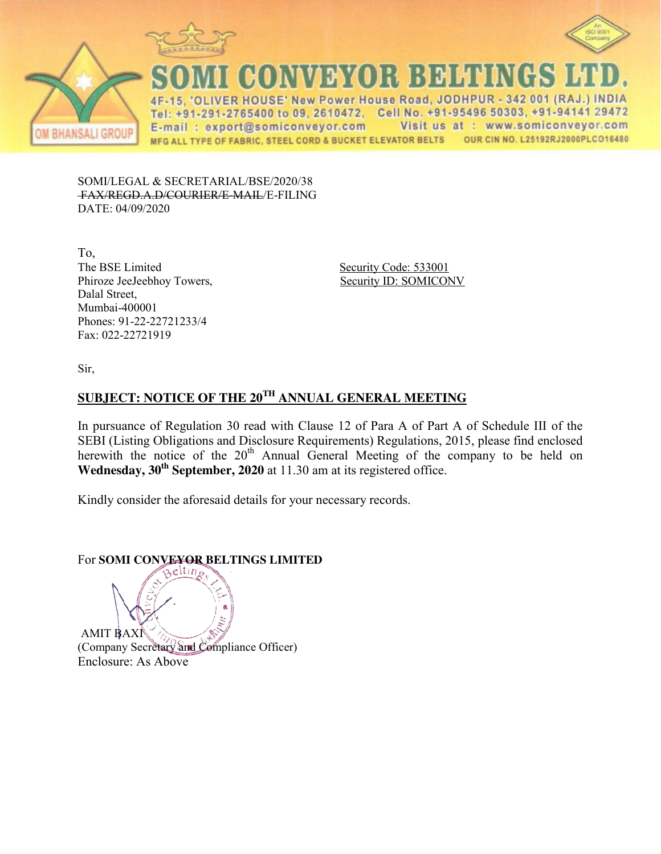



**BHANSALI GROUP** 

CONVEYOR BELTINGS

IVER HOUSE' New Power House Road, JODHPUR - 342 001 (RAJ.) INDIA  $4F$ Tel: +91-291-2765400 to 09, 2610472, Cell No. +91-95496 50303, +91-94141 29472 E-mail: export@somiconveyor.com Visit us at : www.somiconveyor.com OUR CIN NO. L25192RJ2000PLCO16480 MFG ALL TYPE OF FABRIC, STEEL CORD & BUCKET ELEVATOR BELTS

SOMI/LEGAL & SECRETARIAL/BSE/2020/38 FAX/REGD.A.D/COURIER/E-MAIL/E-FILING DATE: 04/09/2020

To, Phiroze JeeJeebhoy Towers, Security ID: SOMICONV Dalal Street, Mumbai-400001 Phones: 91-22-22721233/4 Fax: 022-22721919

Security Code: 533001

Sir,

### **SUBJECT: NOTICE OF THE 20TH ANNUAL GENERAL MEETING**

In pursuance of Regulation 30 read with Clause 12 of Para A of Part A of Schedule III of the SEBI (Listing Obligations and Disclosure Requirements) Regulations, 2015, please find enclosed herewith the notice of the 20<sup>th</sup> Annual General Meeting of the company to be held on **Wednesday, 30th September, 2020** at 11.30 am at its registered office.

Kindly consider the aforesaid details for your necessary records.

# For **SOMI CONVEYOR BELTINGS LIMITED**

AMIT BAXI (Company Secretary and Compliance Officer) Enclosure: As Above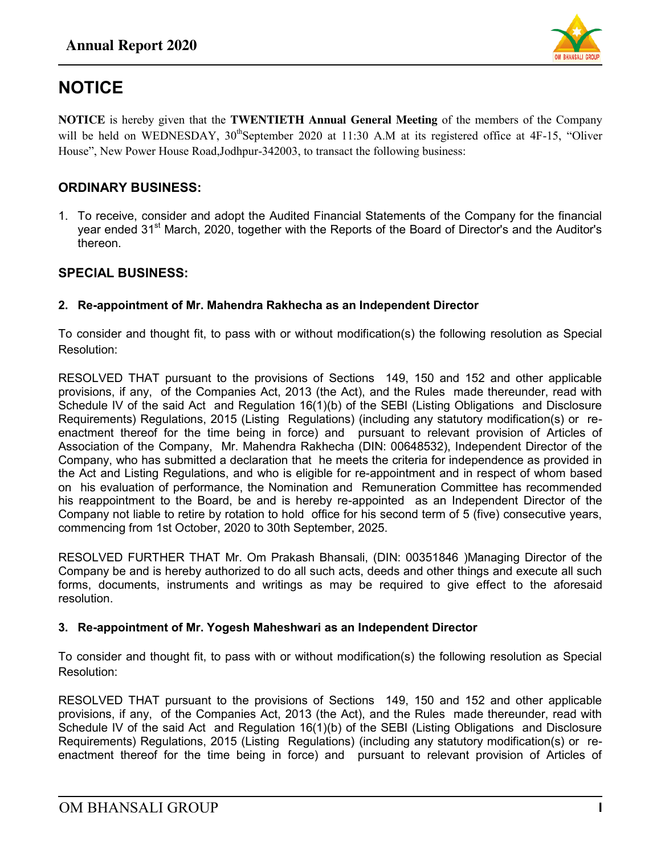

# **NOTICE**

**NOTICE** is hereby given that the **TWENTIETH Annual General Meeting** of the members of the Company will be held on WEDNESDAY, 30<sup>th</sup>September 2020 at 11:30 A.M at its registered office at 4F-15, "Oliver House", New Power House Road,Jodhpur-342003, to transact the following business:

#### **ORDINARY BUSINESS:**

1. To receive, consider and adopt the Audited Financial Statements of the Company for the financial year ended 31<sup>st</sup> March, 2020, together with the Reports of the Board of Director's and the Auditor's thereon.

#### **SPECIAL BUSINESS:**

#### **2. Re-appointment of Mr. Mahendra Rakhecha as an Independent Director**

To consider and thought fit, to pass with or without modification(s) the following resolution as Special Resolution:

RESOLVED THAT pursuant to the provisions of Sections 149, 150 and 152 and other applicable provisions, if any, of the Companies Act, 2013 (the Act), and the Rules made thereunder, read with Schedule IV of the said Act and Regulation 16(1)(b) of the SEBI (Listing Obligations and Disclosure Requirements) Regulations, 2015 (Listing Regulations) (including any statutory modification(s) or reenactment thereof for the time being in force) and pursuant to relevant provision of Articles of Association of the Company, Mr. Mahendra Rakhecha (DIN: 00648532), Independent Director of the Company, who has submitted a declaration that he meets the criteria for independence as provided in the Act and Listing Regulations, and who is eligible for re-appointment and in respect of whom based on his evaluation of performance, the Nomination and Remuneration Committee has recommended his reappointment to the Board, be and is hereby re-appointed as an Independent Director of the Company not liable to retire by rotation to hold office for his second term of 5 (five) consecutive years, commencing from 1st October, 2020 to 30th September, 2025.

RESOLVED FURTHER THAT Mr. Om Prakash Bhansali, (DIN: 00351846 )Managing Director of the Company be and is hereby authorized to do all such acts, deeds and other things and execute all such forms, documents, instruments and writings as may be required to give effect to the aforesaid resolution.

#### **3. Re-appointment of Mr. Yogesh Maheshwari as an Independent Director**

To consider and thought fit, to pass with or without modification(s) the following resolution as Special Resolution:

RESOLVED THAT pursuant to the provisions of Sections 149, 150 and 152 and other applicable provisions, if any, of the Companies Act, 2013 (the Act), and the Rules made thereunder, read with Schedule IV of the said Act and Regulation 16(1)(b) of the SEBI (Listing Obligations and Disclosure Requirements) Regulations, 2015 (Listing Regulations) (including any statutory modification(s) or reenactment thereof for the time being in force) and pursuant to relevant provision of Articles of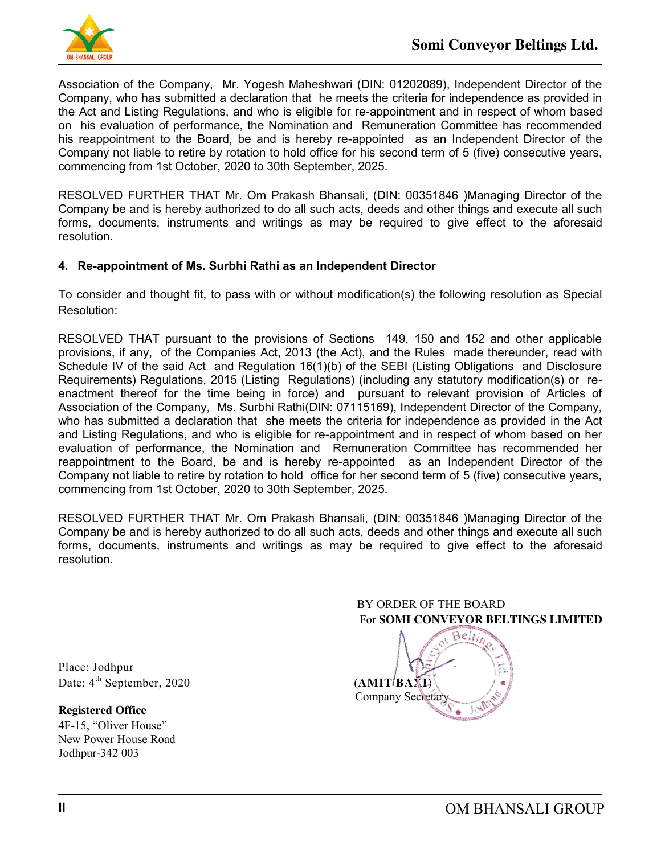

Association of the Company, Mr. Yogesh Maheshwari (DIN: [01202089\)](http://www.mca.gov.in/mcafoportal/companyLLPMasterData.do), Independent Director of the Company, who has submitted a declaration that he meets the criteria for independence as provided in the Act and Listing Regulations, and who is eligible for re-appointment and in respect of whom based on his evaluation of performance, the Nomination and Remuneration Committee has recommended his reappointment to the Board, be and is hereby re-appointed as an Independent Director of the Company not liable to retire by rotation to hold office for his second term of 5 (five) consecutive years, commencing from 1st October, 2020 to 30th September, 2025.

RESOLVED FURTHER THAT Mr. Om Prakash Bhansali, (DIN: 00351846 )Managing Director of the Company be and is hereby authorized to do all such acts, deeds and other things and execute all such forms, documents, instruments and writings as may be required to give effect to the aforesaid resolution.

#### **4. Re-appointment of Ms. Surbhi Rathi as an Independent Director**

To consider and thought fit, to pass with or without modification(s) the following resolution as Special Resolution:

RESOLVED THAT pursuant to the provisions of Sections 149, 150 and 152 and other applicable provisions, if any, of the Companies Act, 2013 (the Act), and the Rules made thereunder, read with Schedule IV of the said Act and Regulation 16(1)(b) of the SEBI (Listing Obligations and Disclosure Requirements) Regulations, 2015 (Listing Regulations) (including any statutory modification(s) or reenactment thereof for the time being in force) and pursuant to relevant provision of Articles of Association of the Company, Ms. Surbhi Rathi(DIN: [07115169\)](http://www.mca.gov.in/mcafoportal/companyLLPMasterData.do), Independent Director of the Company, who has submitted a declaration that she meets the criteria for independence as provided in the Act and Listing Regulations, and who is eligible for re-appointment and in respect of whom based on her evaluation of performance, the Nomination and Remuneration Committee has recommended her reappointment to the Board, be and is hereby re-appointed as an Independent Director of the Company not liable to retire by rotation to hold office for her second term of 5 (five) consecutive years, commencing from 1st October, 2020 to 30th September, 2025.

RESOLVED FURTHER THAT Mr. Om Prakash Bhansali, (DIN: 00351846 )Managing Director of the Company be and is hereby authorized to do all such acts, deeds and other things and execute all such forms, documents, instruments and writings as may be required to give effect to the aforesaid resolution.

## BY ORDER OF THE BOARD For **SOMI CONVEYOR BELTINGS LIMITED**



Place: Jodhpur Date: 4<sup>th</sup> September, 2020 (**AMIT<sup>/</sup>BAXI**)

**Registered Office** 

4F-15, "Oliver House" New Power House Road Jodhpur-342 003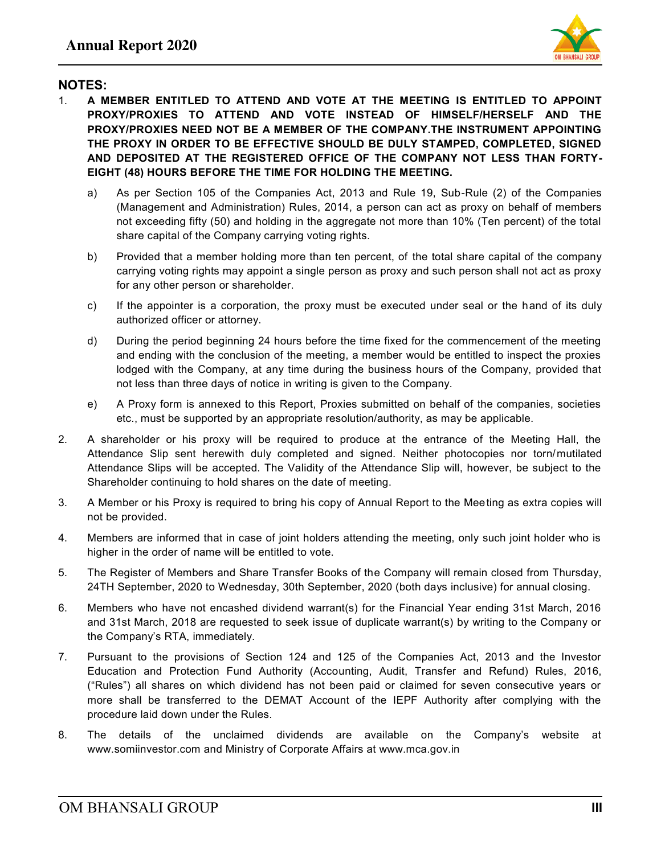

#### **NOTES:**

- 1. **A MEMBER ENTITLED TO ATTEND AND VOTE AT THE MEETING IS ENTITLED TO APPOINT PROXY/PROXIES TO ATTEND AND VOTE INSTEAD OF HIMSELF/HERSELF AND THE PROXY/PROXIES NEED NOT BE A MEMBER OF THE COMPANY.THE INSTRUMENT APPOINTING THE PROXY IN ORDER TO BE EFFECTIVE SHOULD BE DULY STAMPED, COMPLETED, SIGNED AND DEPOSITED AT THE REGISTERED OFFICE OF THE COMPANY NOT LESS THAN FORTY-EIGHT (48) HOURS BEFORE THE TIME FOR HOLDING THE MEETING.** 
	- a) As per Section 105 of the Companies Act, 2013 and Rule 19, Sub-Rule (2) of the Companies (Management and Administration) Rules, 2014, a person can act as proxy on behalf of members not exceeding fifty (50) and holding in the aggregate not more than 10% (Ten percent) of the total share capital of the Company carrying voting rights.
	- b) Provided that a member holding more than ten percent, of the total share capital of the company carrying voting rights may appoint a single person as proxy and such person shall not act as proxy for any other person or shareholder.
	- c) If the appointer is a corporation, the proxy must be executed under seal or the hand of its duly authorized officer or attorney.
	- d) During the period beginning 24 hours before the time fixed for the commencement of the meeting and ending with the conclusion of the meeting, a member would be entitled to inspect the proxies lodged with the Company, at any time during the business hours of the Company, provided that not less than three days of notice in writing is given to the Company.
	- e) A Proxy form is annexed to this Report, Proxies submitted on behalf of the companies, societies etc., must be supported by an appropriate resolution/authority, as may be applicable.
- 2. A shareholder or his proxy will be required to produce at the entrance of the Meeting Hall, the Attendance Slip sent herewith duly completed and signed. Neither photocopies nor torn/mutilated Attendance Slips will be accepted. The Validity of the Attendance Slip will, however, be subject to the Shareholder continuing to hold shares on the date of meeting.
- 3. A Member or his Proxy is required to bring his copy of Annual Report to the Meeting as extra copies will not be provided.
- 4. Members are informed that in case of joint holders attending the meeting, only such joint holder who is higher in the order of name will be entitled to vote.
- 5. The Register of Members and Share Transfer Books of the Company will remain closed from Thursday, 24TH September, 2020 to Wednesday, 30th September, 2020 (both days inclusive) for annual closing.
- 6. Members who have not encashed dividend warrant(s) for the Financial Year ending 31st March, 2016 and 31st March, 2018 are requested to seek issue of duplicate warrant(s) by writing to the Company or the Company"s RTA, immediately.
- 7. Pursuant to the provisions of Section 124 and 125 of the Companies Act, 2013 and the Investor Education and Protection Fund Authority (Accounting, Audit, Transfer and Refund) Rules, 2016, ("Rules") all shares on which dividend has not been paid or claimed for seven consecutive years or more shall be transferred to the DEMAT Account of the IEPF Authority after complying with the procedure laid down under the Rules.
- 8. The details of the unclaimed dividends are available on the Company"s website at www.somiinvestor.com and Ministry of Corporate Affairs at www.mca.gov.in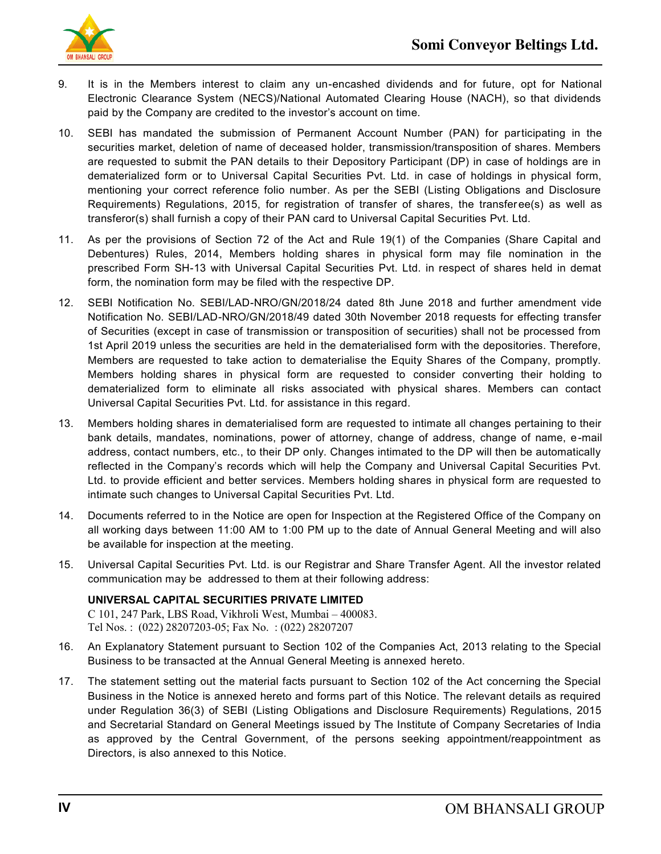

- 9. It is in the Members interest to claim any un-encashed dividends and for future, opt for National Electronic Clearance System (NECS)/National Automated Clearing House (NACH), so that dividends paid by the Company are credited to the investor's account on time.
- 10. SEBI has mandated the submission of Permanent Account Number (PAN) for participating in the securities market, deletion of name of deceased holder, transmission/transposition of shares. Members are requested to submit the PAN details to their Depository Participant (DP) in case of holdings are in dematerialized form or to Universal Capital Securities Pvt. Ltd. in case of holdings in physical form, mentioning your correct reference folio number. As per the SEBI (Listing Obligations and Disclosure Requirements) Regulations, 2015, for registration of transfer of shares, the transferee(s) as well as transferor(s) shall furnish a copy of their PAN card to Universal Capital Securities Pvt. Ltd.
- 11. As per the provisions of Section 72 of the Act and Rule 19(1) of the Companies (Share Capital and Debentures) Rules, 2014, Members holding shares in physical form may file nomination in the prescribed Form SH-13 with Universal Capital Securities Pvt. Ltd. in respect of shares held in demat form, the nomination form may be filed with the respective DP.
- 12. SEBI Notification No. SEBI/LAD-NRO/GN/2018/24 dated 8th June 2018 and further amendment vide Notification No. SEBI/LAD-NRO/GN/2018/49 dated 30th November 2018 requests for effecting transfer of Securities (except in case of transmission or transposition of securities) shall not be processed from 1st April 2019 unless the securities are held in the dematerialised form with the depositories. Therefore, Members are requested to take action to dematerialise the Equity Shares of the Company, promptly. Members holding shares in physical form are requested to consider converting their holding to dematerialized form to eliminate all risks associated with physical shares. Members can contact Universal Capital Securities Pvt. Ltd. for assistance in this regard.
- 13. Members holding shares in dematerialised form are requested to intimate all changes pertaining to their bank details, mandates, nominations, power of attorney, change of address, change of name, e-mail address, contact numbers, etc., to their DP only. Changes intimated to the DP will then be automatically reflected in the Company's records which will help the Company and Universal Capital Securities Pvt. Ltd. to provide efficient and better services. Members holding shares in physical form are requested to intimate such changes to Universal Capital Securities Pvt. Ltd.
- 14. Documents referred to in the Notice are open for Inspection at the Registered Office of the Company on all working days between 11:00 AM to 1:00 PM up to the date of Annual General Meeting and will also be available for inspection at the meeting.
- 15. Universal Capital Securities Pvt. Ltd. is our Registrar and Share Transfer Agent. All the investor related communication may be addressed to them at their following address:

#### **UNIVERSAL CAPITAL SECURITIES PRIVATE LIMITED**

C 101, 247 Park, LBS Road, Vikhroli West, Mumbai – 400083. Tel Nos. : (022) 28207203-05; Fax No. : (022) 28207207

- 16. An Explanatory Statement pursuant to Section 102 of the Companies Act, 2013 relating to the Special Business to be transacted at the Annual General Meeting is annexed hereto.
- 17. The statement setting out the material facts pursuant to Section 102 of the Act concerning the Special Business in the Notice is annexed hereto and forms part of this Notice. The relevant details as required under Regulation 36(3) of SEBI (Listing Obligations and Disclosure Requirements) Regulations, 2015 and Secretarial Standard on General Meetings issued by The Institute of Company Secretaries of India as approved by the Central Government, of the persons seeking appointment/reappointment as Directors, is also annexed to this Notice.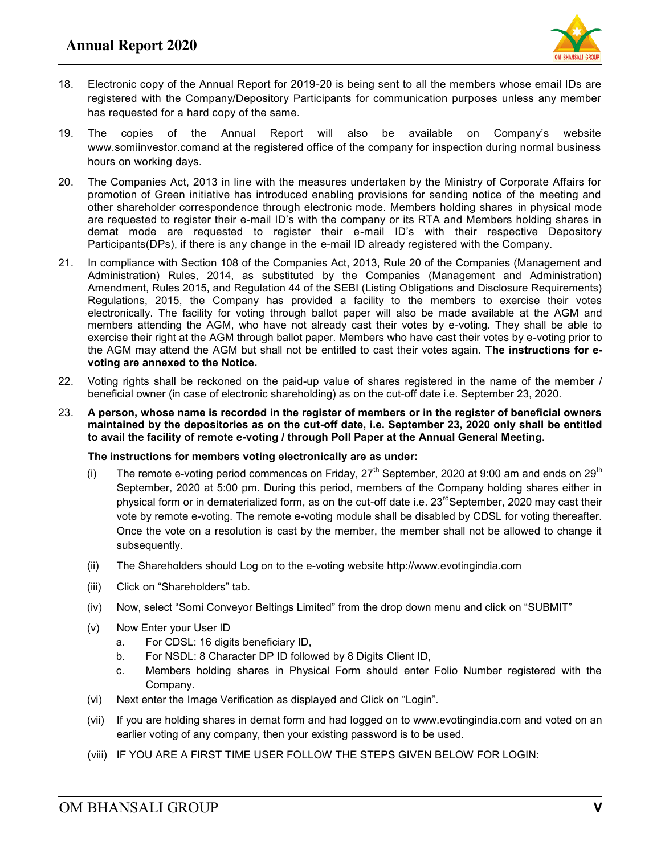

- 18. Electronic copy of the Annual Report for 2019-20 is being sent to all the members whose email IDs are registered with the Company/Depository Participants for communication purposes unless any member has requested for a hard copy of the same.
- 19. The copies of the Annual Report will also be available on Company"s website www.somiinvestor.comand at the registered office of the company for inspection during normal business hours on working days.
- 20. The Companies Act, 2013 in line with the measures undertaken by the Ministry of Corporate Affairs for promotion of Green initiative has introduced enabling provisions for sending notice of the meeting and other shareholder correspondence through electronic mode. Members holding shares in physical mode are requested to register their e-mail ID"s with the company or its RTA and Members holding shares in demat mode are requested to register their e-mail ID"s with their respective Depository Participants(DPs), if there is any change in the e-mail ID already registered with the Company.
- 21. In compliance with Section 108 of the Companies Act, 2013, Rule 20 of the Companies (Management and Administration) Rules, 2014, as substituted by the Companies (Management and Administration) Amendment, Rules 2015, and Regulation 44 of the SEBI (Listing Obligations and Disclosure Requirements) Regulations, 2015, the Company has provided a facility to the members to exercise their votes electronically. The facility for voting through ballot paper will also be made available at the AGM and members attending the AGM, who have not already cast their votes by e-voting. They shall be able to exercise their right at the AGM through ballot paper. Members who have cast their votes by e-voting prior to the AGM may attend the AGM but shall not be entitled to cast their votes again. **The instructions for evoting are annexed to the Notice.**
- 22. Voting rights shall be reckoned on the paid-up value of shares registered in the name of the member / beneficial owner (in case of electronic shareholding) as on the cut-off date i.e. September 23, 2020.
- 23. **A person, whose name is recorded in the register of members or in the register of beneficial owners maintained by the depositories as on the cut-off date, i.e. September 23, 2020 only shall be entitled to avail the facility of remote e-voting / through Poll Paper at the Annual General Meeting.**

#### **The instructions for members voting electronically are as under:**

- (i) The remote e-voting period commences on Friday,  $27<sup>th</sup>$  September, 2020 at 9:00 am and ends on  $29<sup>th</sup>$ September, 2020 at 5:00 pm. During this period, members of the Company holding shares either in physical form or in dematerialized form, as on the cut-off date i.e.  $23<sup>rd</sup>$ September, 2020 may cast their vote by remote e-voting. The remote e-voting module shall be disabled by CDSL for voting thereafter. Once the vote on a resolution is cast by the member, the member shall not be allowed to change it subsequently.
- (ii) The Shareholders should Log on to the e-voting website http://www.evotingindia.com
- (iii) Click on "Shareholders" tab.
- (iv) Now, select "Somi Conveyor Beltings Limited" from the drop down menu and click on "SUBMIT"
- (v) Now Enter your User ID
	- a. For CDSL: 16 digits beneficiary ID,
	- b. For NSDL: 8 Character DP ID followed by 8 Digits Client ID,
	- c. Members holding shares in Physical Form should enter Folio Number registered with the Company.
- (vi) Next enter the Image Verification as displayed and Click on "Login".
- (vii) If you are holding shares in demat form and had logged on to www.evotingindia.com and voted on an earlier voting of any company, then your existing password is to be used.
- (viii) IF YOU ARE A FIRST TIME USER FOLLOW THE STEPS GIVEN BELOW FOR LOGIN: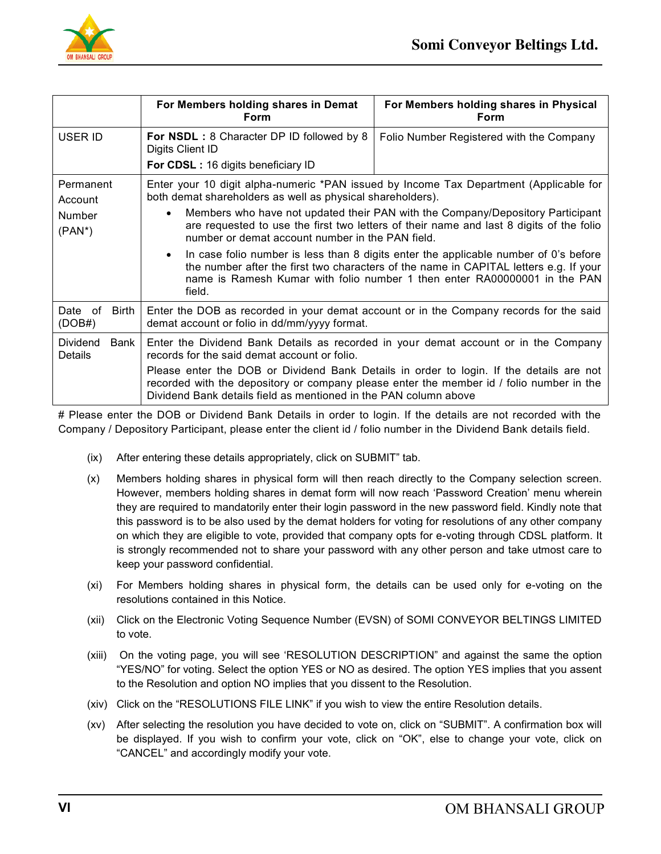

|                                             | For Members holding shares in Demat<br>Form                                                                                            | For Members holding shares in Physical<br><b>Form</b>                                                                                                                                                                                                                                                                                                                                                                                                                                                                             |  |  |
|---------------------------------------------|----------------------------------------------------------------------------------------------------------------------------------------|-----------------------------------------------------------------------------------------------------------------------------------------------------------------------------------------------------------------------------------------------------------------------------------------------------------------------------------------------------------------------------------------------------------------------------------------------------------------------------------------------------------------------------------|--|--|
| USER ID                                     | For NSDL: 8 Character DP ID followed by 8<br>Digits Client ID<br>For CDSL: 16 digits beneficiary ID                                    | Folio Number Registered with the Company                                                                                                                                                                                                                                                                                                                                                                                                                                                                                          |  |  |
| Permanent<br>Account<br>Number<br>$(PAN^*)$ | both demat shareholders as well as physical shareholders).<br>number or demat account number in the PAN field.<br>field.               | Enter your 10 digit alpha-numeric *PAN issued by Income Tax Department (Applicable for<br>Members who have not updated their PAN with the Company/Depository Participant<br>are requested to use the first two letters of their name and last 8 digits of the folio<br>In case folio number is less than 8 digits enter the applicable number of 0's before<br>the number after the first two characters of the name in CAPITAL letters e.g. If your<br>name is Ramesh Kumar with folio number 1 then enter RA00000001 in the PAN |  |  |
| Date of<br><b>Birth</b><br>(DOB#)           | Enter the DOB as recorded in your demat account or in the Company records for the said<br>demat account or folio in dd/mm/yyyy format. |                                                                                                                                                                                                                                                                                                                                                                                                                                                                                                                                   |  |  |
| Dividend<br>Bank<br>Details                 | Enter the Dividend Bank Details as recorded in your demat account or in the Company<br>records for the said demat account or folio.    |                                                                                                                                                                                                                                                                                                                                                                                                                                                                                                                                   |  |  |
|                                             | Dividend Bank details field as mentioned in the PAN column above                                                                       | Please enter the DOB or Dividend Bank Details in order to login. If the details are not<br>recorded with the depository or company please enter the member id / folio number in the                                                                                                                                                                                                                                                                                                                                               |  |  |

# Please enter the DOB or Dividend Bank Details in order to login. If the details are not recorded with the Company / Depository Participant, please enter the client id / folio number in the Dividend Bank details field.

- (ix) After entering these details appropriately, click on SUBMIT" tab.
- (x) Members holding shares in physical form will then reach directly to the Company selection screen. However, members holding shares in demat form will now reach "Password Creation" menu wherein they are required to mandatorily enter their login password in the new password field. Kindly note that this password is to be also used by the demat holders for voting for resolutions of any other company on which they are eligible to vote, provided that company opts for e-voting through CDSL platform. It is strongly recommended not to share your password with any other person and take utmost care to keep your password confidential.
- (xi) For Members holding shares in physical form, the details can be used only for e-voting on the resolutions contained in this Notice.
- (xii) Click on the Electronic Voting Sequence Number (EVSN) of SOMI CONVEYOR BELTINGS LIMITED to vote.
- (xiii) On the voting page, you will see "RESOLUTION DESCRIPTION" and against the same the option "YES/NO" for voting. Select the option YES or NO as desired. The option YES implies that you assent to the Resolution and option NO implies that you dissent to the Resolution.
- (xiv) Click on the "RESOLUTIONS FILE LINK" if you wish to view the entire Resolution details.
- (xv) After selecting the resolution you have decided to vote on, click on "SUBMIT". A confirmation box will be displayed. If you wish to confirm your vote, click on "OK", else to change your vote, click on "CANCEL" and accordingly modify your vote.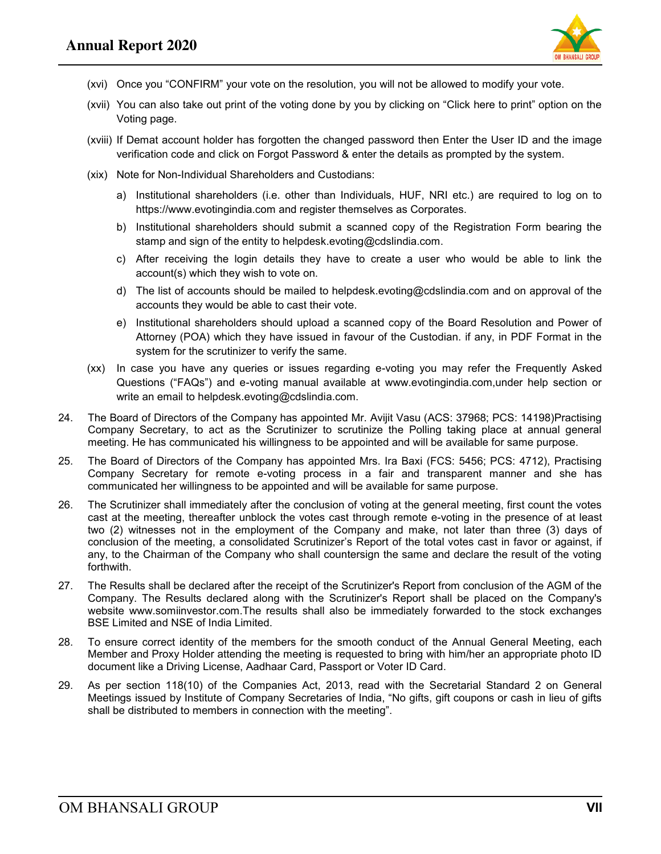

- (xvi) Once you "CONFIRM" your vote on the resolution, you will not be allowed to modify your vote.
- (xvii) You can also take out print of the voting done by you by clicking on "Click here to print" option on the Voting page.
- (xviii) If Demat account holder has forgotten the changed password then Enter the User ID and the image verification code and click on Forgot Password & enter the details as prompted by the system.
- (xix) Note for Non-Individual Shareholders and Custodians:
	- a) Institutional shareholders (i.e. other than Individuals, HUF, NRI etc.) are required to log on to https://www.evotingindia.com and register themselves as Corporates.
	- b) Institutional shareholders should submit a scanned copy of the Registration Form bearing the stamp and sign of the entity to helpdesk.evoting@cdslindia.com.
	- c) After receiving the login details they have to create a user who would be able to link the account(s) which they wish to vote on.
	- d) The list of accounts should be mailed to helpdesk.evoting@cdslindia.com and on approval of the accounts they would be able to cast their vote.
	- e) Institutional shareholders should upload a scanned copy of the Board Resolution and Power of Attorney (POA) which they have issued in favour of the Custodian. if any, in PDF Format in the system for the scrutinizer to verify the same.
- (xx) In case you have any queries or issues regarding e-voting you may refer the Frequently Asked Questions ("FAQs") and e-voting manual available at www.evotingindia.com,under help section or write an email to helpdesk.evoting@cdslindia.com.
- 24. The Board of Directors of the Company has appointed Mr. Avijit Vasu (ACS: 37968; PCS: 14198)Practising Company Secretary, to act as the Scrutinizer to scrutinize the Polling taking place at annual general meeting. He has communicated his willingness to be appointed and will be available for same purpose.
- 25. The Board of Directors of the Company has appointed Mrs. Ira Baxi (FCS: 5456; PCS: 4712), Practising Company Secretary for remote e-voting process in a fair and transparent manner and she has communicated her willingness to be appointed and will be available for same purpose.
- 26. The Scrutinizer shall immediately after the conclusion of voting at the general meeting, first count the votes cast at the meeting, thereafter unblock the votes cast through remote e-voting in the presence of at least two (2) witnesses not in the employment of the Company and make, not later than three (3) days of conclusion of the meeting, a consolidated Scrutinizer"s Report of the total votes cast in favor or against, if any, to the Chairman of the Company who shall countersign the same and declare the result of the voting forthwith.
- 27. The Results shall be declared after the receipt of the Scrutinizer's Report from conclusion of the AGM of the Company. The Results declared along with the Scrutinizer's Report shall be placed on the Company's website www.somiinvestor.com.The results shall also be immediately forwarded to the stock exchanges BSE Limited and NSE of India Limited.
- 28. To ensure correct identity of the members for the smooth conduct of the Annual General Meeting, each Member and Proxy Holder attending the meeting is requested to bring with him/her an appropriate photo ID document like a Driving License, Aadhaar Card, Passport or Voter ID Card.
- 29. As per section 118(10) of the Companies Act, 2013, read with the Secretarial Standard 2 on General Meetings issued by Institute of Company Secretaries of India, "No gifts, gift coupons or cash in lieu of gifts shall be distributed to members in connection with the meeting".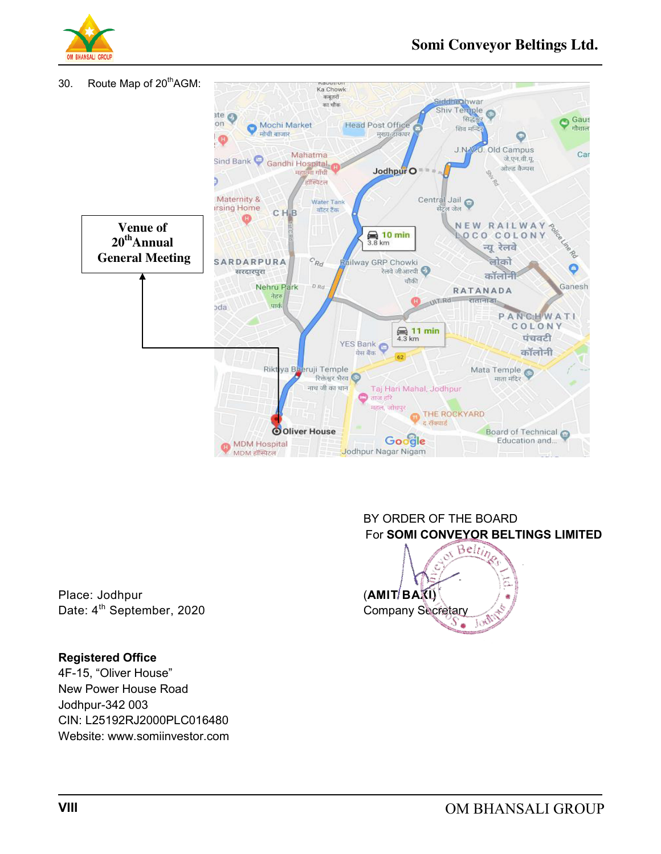



Place: Jodhpur **(AMIT BAXI)** 

#### **Registered Office**

4F-15, "Oliver House" New Power House Road Jodhpur-342 003 CIN: L25192RJ2000PLC016480 Website: www.somiinvestor.com

#### BY ORDER OF THE BOARD For **SOMI CONVEYOR BELTINGS LIMITED**

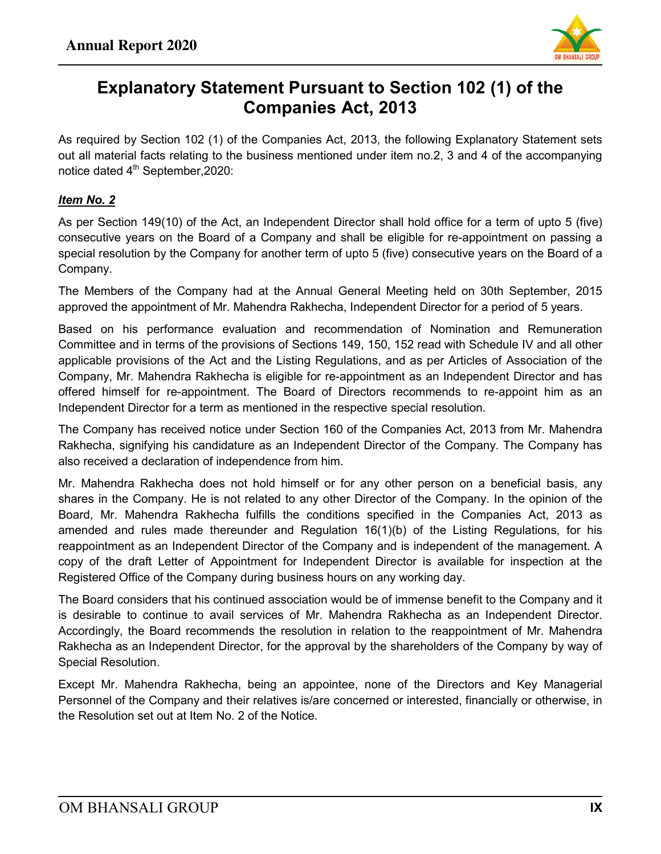

# **Explanatory Statement Pursuant to Section 102 (1) of the Companies Act, 2013**

As required by Section 102 (1) of the Companies Act, 2013, the following Explanatory Statement sets out all material facts relating to the business mentioned under item no.2, 3 and 4 of the accompanying notice dated  $4<sup>th</sup>$  September, 2020:

#### *Item No. 2*

As per Section 149(10) of the Act, an Independent Director shall hold office for a term of upto 5 (five) consecutive years on the Board of a Company and shall be eligible for re-appointment on passing a special resolution by the Company for another term of upto 5 (five) consecutive years on the Board of a Company.

The Members of the Company had at the Annual General Meeting held on 30th September, 2015 approved the appointment of Mr. Mahendra Rakhecha, Independent Director for a period of 5 years.

Based on his performance evaluation and recommendation of Nomination and Remuneration Committee and in terms of the provisions of Sections 149, 150, 152 read with Schedule IV and all other applicable provisions of the Act and the Listing Regulations, and as per Articles of Association of the Company, Mr. Mahendra Rakhecha is eligible for re-appointment as an Independent Director and has offered himself for re-appointment. The Board of Directors recommends to re-appoint him as an Independent Director for a term as mentioned in the respective special resolution.

The Company has received notice under Section 160 of the Companies Act, 2013 from Mr. Mahendra Rakhecha, signifying his candidature as an Independent Director of the Company. The Company has also received a declaration of independence from him.

Mr. Mahendra Rakhecha does not hold himself or for any other person on a beneficial basis, any shares in the Company. He is not related to any other Director of the Company. In the opinion of the Board, Mr. Mahendra Rakhecha fulfills the conditions specified in the Companies Act, 2013 as amended and rules made thereunder and Regulation 16(1)(b) of the Listing Regulations, for his reappointment as an Independent Director of the Company and is independent of the management. A copy of the draft Letter of Appointment for Independent Director is available for inspection at the Registered Office of the Company during business hours on any working day.

The Board considers that his continued association would be of immense benefit to the Company and it is desirable to continue to avail services of Mr. Mahendra Rakhecha as an Independent Director. Accordingly, the Board recommends the resolution in relation to the reappointment of Mr. Mahendra Rakhecha as an Independent Director, for the approval by the shareholders of the Company by way of Special Resolution.

Except Mr. Mahendra Rakhecha, being an appointee, none of the Directors and Key Managerial Personnel of the Company and their relatives is/are concerned or interested, financially or otherwise, in the Resolution set out at Item No. 2 of the Notice.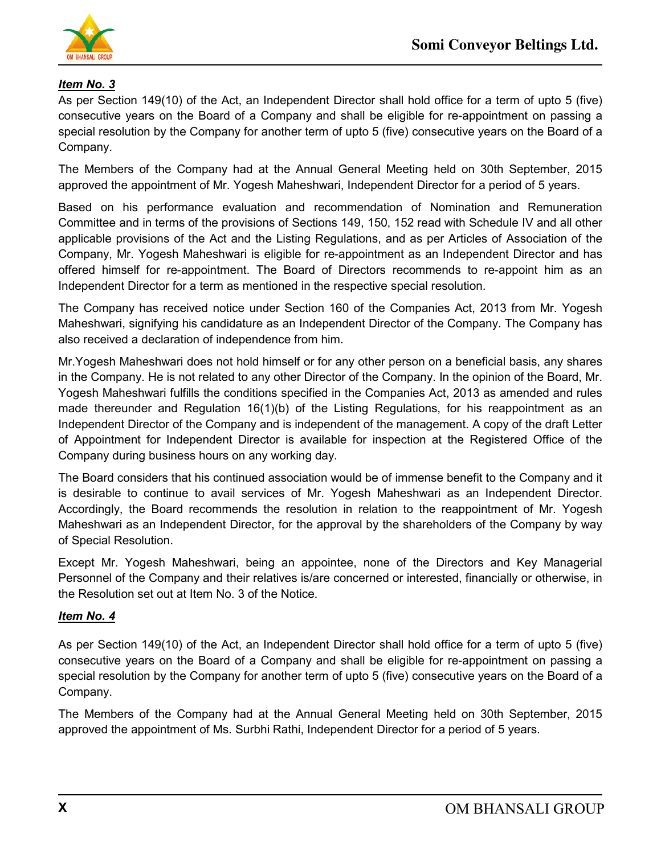

#### *Item No. 3*

As per Section 149(10) of the Act, an Independent Director shall hold office for a term of upto 5 (five) consecutive years on the Board of a Company and shall be eligible for re-appointment on passing a special resolution by the Company for another term of upto 5 (five) consecutive years on the Board of a Company.

The Members of the Company had at the Annual General Meeting held on 30th September, 2015 approved the appointment of Mr. Yogesh Maheshwari, Independent Director for a period of 5 years.

Based on his performance evaluation and recommendation of Nomination and Remuneration Committee and in terms of the provisions of Sections 149, 150, 152 read with Schedule IV and all other applicable provisions of the Act and the Listing Regulations, and as per Articles of Association of the Company, Mr. Yogesh Maheshwari is eligible for re-appointment as an Independent Director and has offered himself for re-appointment. The Board of Directors recommends to re-appoint him as an Independent Director for a term as mentioned in the respective special resolution.

The Company has received notice under Section 160 of the Companies Act, 2013 from Mr. Yogesh Maheshwari, signifying his candidature as an Independent Director of the Company. The Company has also received a declaration of independence from him.

Mr.Yogesh Maheshwari does not hold himself or for any other person on a beneficial basis, any shares in the Company. He is not related to any other Director of the Company. In the opinion of the Board, Mr. Yogesh Maheshwari fulfills the conditions specified in the Companies Act, 2013 as amended and rules made thereunder and Regulation 16(1)(b) of the Listing Regulations, for his reappointment as an Independent Director of the Company and is independent of the management. A copy of the draft Letter of Appointment for Independent Director is available for inspection at the Registered Office of the Company during business hours on any working day.

The Board considers that his continued association would be of immense benefit to the Company and it is desirable to continue to avail services of Mr. Yogesh Maheshwari as an Independent Director. Accordingly, the Board recommends the resolution in relation to the reappointment of Mr. Yogesh Maheshwari as an Independent Director, for the approval by the shareholders of the Company by way of Special Resolution.

Except Mr. Yogesh Maheshwari, being an appointee, none of the Directors and Key Managerial Personnel of the Company and their relatives is/are concerned or interested, financially or otherwise, in the Resolution set out at Item No. 3 of the Notice.

#### *Item No. 4*

As per Section 149(10) of the Act, an Independent Director shall hold office for a term of upto 5 (five) consecutive years on the Board of a Company and shall be eligible for re-appointment on passing a special resolution by the Company for another term of upto 5 (five) consecutive years on the Board of a Company.

The Members of the Company had at the Annual General Meeting held on 30th September, 2015 approved the appointment of Ms. Surbhi Rathi, Independent Director for a period of 5 years.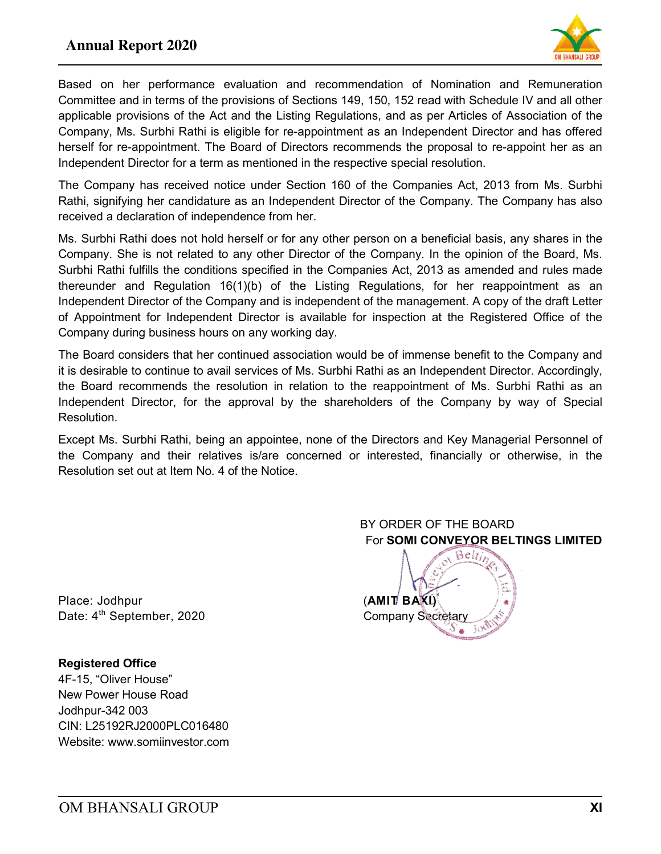#### **Annual Report 2020**



Based on her performance evaluation and recommendation of Nomination and Remuneration Committee and in terms of the provisions of Sections 149, 150, 152 read with Schedule IV and all other applicable provisions of the Act and the Listing Regulations, and as per Articles of Association of the Company, Ms. Surbhi Rathi is eligible for re-appointment as an Independent Director and has offered herself for re-appointment. The Board of Directors recommends the proposal to re-appoint her as an Independent Director for a term as mentioned in the respective special resolution.

The Company has received notice under Section 160 of the Companies Act, 2013 from Ms. Surbhi Rathi, signifying her candidature as an Independent Director of the Company. The Company has also received a declaration of independence from her.

Ms. Surbhi Rathi does not hold herself or for any other person on a beneficial basis, any shares in the Company. She is not related to any other Director of the Company. In the opinion of the Board, Ms. Surbhi Rathi fulfills the conditions specified in the Companies Act, 2013 as amended and rules made thereunder and Regulation 16(1)(b) of the Listing Regulations, for her reappointment as an Independent Director of the Company and is independent of the management. A copy of the draft Letter of Appointment for Independent Director is available for inspection at the Registered Office of the Company during business hours on any working day.

The Board considers that her continued association would be of immense benefit to the Company and it is desirable to continue to avail services of Ms. Surbhi Rathi as an Independent Director. Accordingly, the Board recommends the resolution in relation to the reappointment of Ms. Surbhi Rathi as an Independent Director, for the approval by the shareholders of the Company by way of Special Resolution.

Except Ms. Surbhi Rathi, being an appointee, none of the Directors and Key Managerial Personnel of the Company and their relatives is/are concerned or interested, financially or otherwise, in the Resolution set out at Item No. 4 of the Notice.

Place: Jodhpur **(AMIT BAXI)** Date: 4<sup>th</sup> September, 2020 Company Secretary

**Registered Office**  4F-15, "Oliver House" New Power House Road Jodhpur-342 003 CIN: L25192RJ2000PLC016480 Website: www.somiinvestor.com

#### BY ORDER OF THE BOARD For **SOMI CONVEYOR BELTINGS LIMITED**